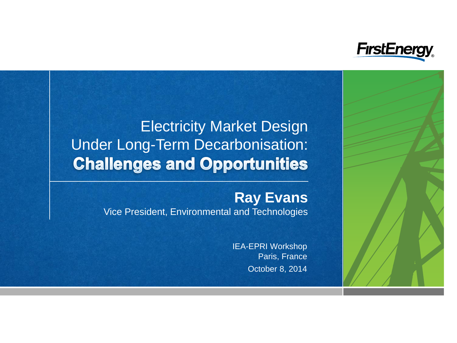

## Electricity Market Design Under Long-Term Decarbonisation: **Challenges and Opportunities**

### **Ray Evans**

Vice President, Environmental and Technologies

October 8, 2014 IEA-EPRI Workshop Paris, France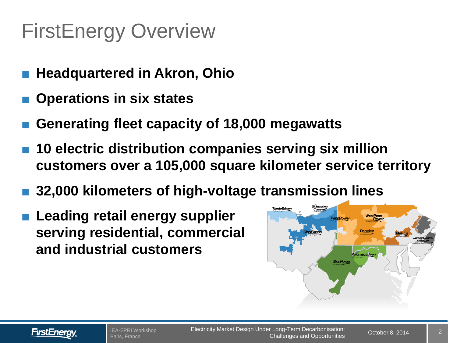# FirstEnergy Overview

- **Headquartered in Akron, Ohio**
- **Operations in six states**
- **Generating fleet capacity of 18,000 megawatts**
- 10 electric distribution companies serving six million **customers over a 105,000 square kilometer service territory**
- **32,000 kilometers of high-voltage transmission lines**
- **Leading retail energy supplier serving residential, commercial and industrial customers**



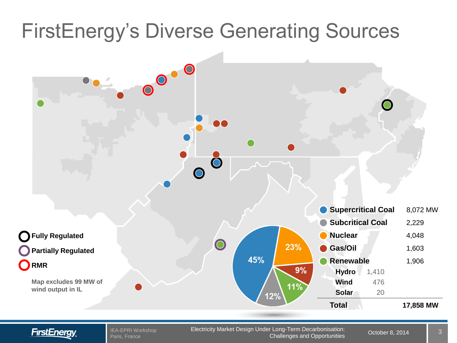# FirstEnergy's Diverse Generating Sources



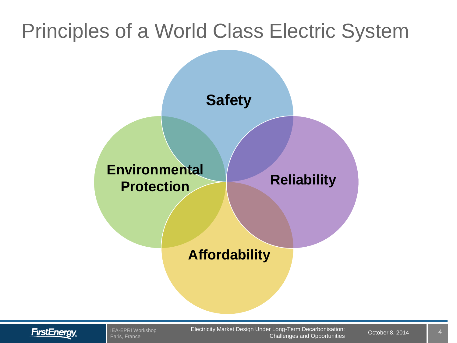## Principles of a World Class Electric System





IEA-EPRI Workshop Paris, France

Electricity Market Design Under Long-Term Decarbonisation: 0ctober 8, 2014 Challenges and Opportunities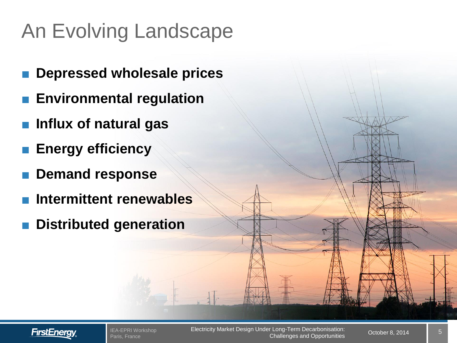# An Evolving Landscape

- **Depressed wholesale prices**
- **Environmental regulation**
- **Influx of natural gas**
- **Energy efficiency**
- **Demand response**
- **Intermittent renewables**
- **Distributed generation**

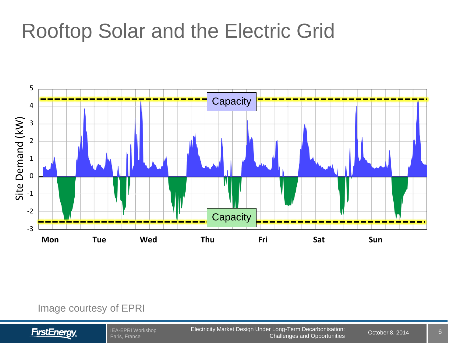## Rooftop Solar and the Electric Grid



#### Image courtesy of EPRI



IEA-EPRI Workshop Paris, France

Electricity Market Design Under Long-Term Decarbonisation: 0ctober 8, 2014 Challenges and Opportunities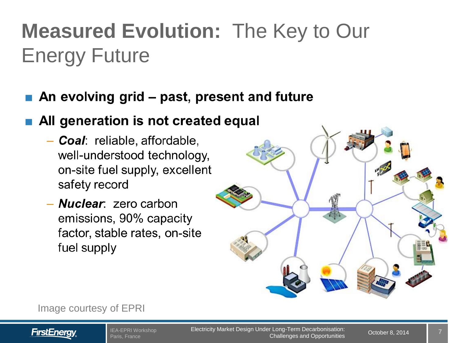# **Measured Evolution:** The Key to Our Energy Future

### An evolving grid - past, present and future

## All generation is not created equal

- Coal: reliable, affordable, well-understood technology, on-site fuel supply, excellent safety record
- **Nuclear**: zero carbon emissions, 90% capacity factor, stable rates, on-site fuel supply



Image courtesy of EPRI